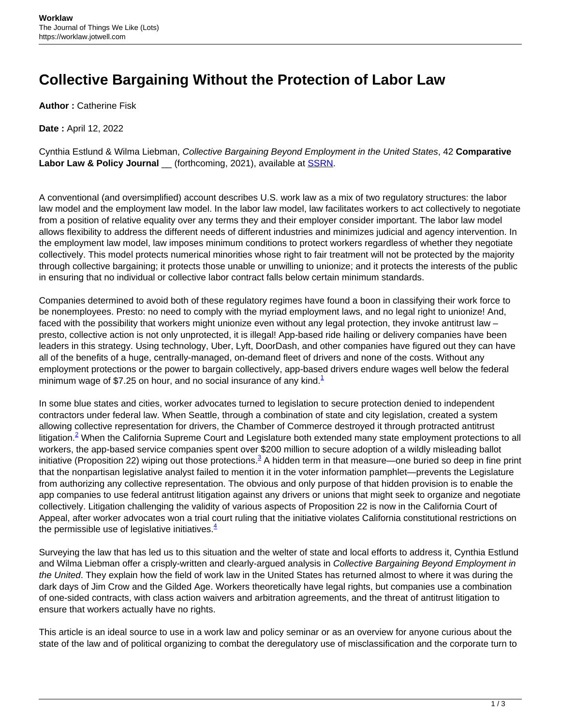## **Collective Bargaining Without the Protection of Labor Law**

**Author :** Catherine Fisk

**Date :** April 12, 2022

Cynthia Estlund & Wilma Liebman, Collective Bargaining Beyond Employment in the United States, 42 **Comparative** Labor Law & Policy Journal \_\_ (forthcoming, 2021), available at **SSRN**.

A conventional (and oversimplified) account describes U.S. work law as a mix of two regulatory structures: the labor law model and the employment law model. In the labor law model, law facilitates workers to act collectively to negotiate from a position of relative equality over any terms they and their employer consider important. The labor law model allows flexibility to address the different needs of different industries and minimizes judicial and agency intervention. In the employment law model, law imposes minimum conditions to protect workers regardless of whether they negotiate collectively. This model protects numerical minorities whose right to fair treatment will not be protected by the majority through collective bargaining; it protects those unable or unwilling to unionize; and it protects the interests of the public in ensuring that no individual or collective labor contract falls below certain minimum standards.

Companies determined to avoid both of these regulatory regimes have found a boon in classifying their work force to be nonemployees. Presto: no need to comply with the myriad employment laws, and no legal right to unionize! And, faced with the possibility that workers might unionize even without any legal protection, they invoke antitrust law – presto, collective action is not only unprotected, it is illegal! App-based ride hailing or delivery companies have been leaders in this strategy. Using technology, Uber, Lyft, DoorDash, and other companies have figured out they can have all of the benefits of a huge, centrally-managed, on-demand fleet of drivers and none of the costs. Without any employment protections or the power to bargain collectively, app-based drivers endure wages well below the federal minimum wage of \$7.25 on hour, and no social insurance of any kind. $1$ 

In some blue states and cities, worker advocates turned to legislation to secure protection denied to independent contractors under federal law. When Seattle, through a combination of state and city legislation, created a system allowing collective representation for drivers, the Chamber of Commerce destroyed it through protracted antitrust litigation.<sup>2</sup> When the California Supreme Court and Legislature both extended many state employment protections to all workers, the app-based service companies spent over \$200 million to secure adoption of a wildly misleading ballot initiative (Proposition 22) wiping out those protections.<sup>3</sup> A hidden term in that measure—one buried so deep in fine print that the nonpartisan legislative analyst failed to mention it in the voter information pamphlet—prevents the Legislature from authorizing any collective representation. The obvious and only purpose of that hidden provision is to enable the app companies to use federal antitrust litigation against any drivers or unions that might seek to organize and negotiate collectively. Litigation challenging the validity of various aspects of Proposition 22 is now in the California Court of Appeal, after worker advocates won a trial court ruling that the initiative violates California constitutional restrictions on the permissible use of legislative initiatives. $4$ 

Surveying the law that has led us to this situation and the welter of state and local efforts to address it, Cynthia Estlund and Wilma Liebman offer a crisply-written and clearly-argued analysis in Collective Bargaining Beyond Employment in the United. They explain how the field of work law in the United States has returned almost to where it was during the dark days of Jim Crow and the Gilded Age. Workers theoretically have legal rights, but companies use a combination of one-sided contracts, with class action waivers and arbitration agreements, and the threat of antitrust litigation to ensure that workers actually have no rights.

This article is an ideal source to use in a work law and policy seminar or as an overview for anyone curious about the state of the law and of political organizing to combat the deregulatory use of misclassification and the corporate turn to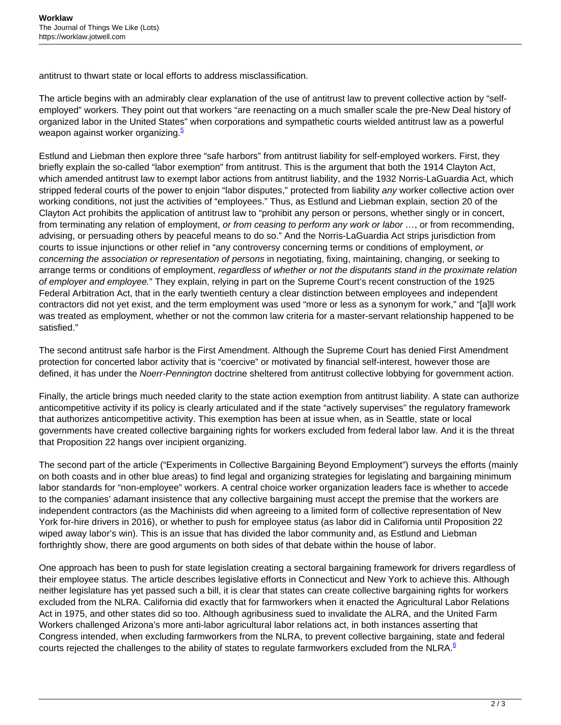antitrust to thwart state or local efforts to address misclassification.

The article begins with an admirably clear explanation of the use of antitrust law to prevent collective action by "selfemployed" workers. They point out that workers "are reenacting on a much smaller scale the pre-New Deal history of organized labor in the United States" when corporations and sympathetic courts wielded antitrust law as a powerful weapon against worker organizing.<sup>5</sup>

Estlund and Liebman then explore three "safe harbors" from antitrust liability for self-employed workers. First, they briefly explain the so-called "labor exemption" from antitrust. This is the argument that both the 1914 Clayton Act, which amended antitrust law to exempt labor actions from antitrust liability, and the 1932 Norris-LaGuardia Act, which stripped federal courts of the power to enjoin "labor disputes," protected from liability any worker collective action over working conditions, not just the activities of "employees." Thus, as Estlund and Liebman explain, section 20 of the Clayton Act prohibits the application of antitrust law to "prohibit any person or persons, whether singly or in concert, from terminating any relation of employment, or from ceasing to perform any work or labor ..., or from recommending, advising, or persuading others by peaceful means to do so." And the Norris-LaGuardia Act strips jurisdiction from courts to issue injunctions or other relief in "any controversy concerning terms or conditions of employment, or concerning the association or representation of persons in negotiating, fixing, maintaining, changing, or seeking to arrange terms or conditions of employment, regardless of whether or not the disputants stand in the proximate relation of employer and employee." They explain, relying in part on the Supreme Court's recent construction of the 1925 Federal Arbitration Act, that in the early twentieth century a clear distinction between employees and independent contractors did not yet exist, and the term employment was used "more or less as a synonym for work," and "[a]ll work was treated as employment, whether or not the common law criteria for a master-servant relationship happened to be satisfied."

The second antitrust safe harbor is the First Amendment. Although the Supreme Court has denied First Amendment protection for concerted labor activity that is "coercive" or motivated by financial self-interest, however those are defined, it has under the Noerr-Pennington doctrine sheltered from antitrust collective lobbying for government action.

Finally, the article brings much needed clarity to the state action exemption from antitrust liability. A state can authorize anticompetitive activity if its policy is clearly articulated and if the state "actively supervises" the regulatory framework that authorizes anticompetitive activity. This exemption has been at issue when, as in Seattle, state or local governments have created collective bargaining rights for workers excluded from federal labor law. And it is the threat that Proposition 22 hangs over incipient organizing.

The second part of the article ("Experiments in Collective Bargaining Beyond Employment") surveys the efforts (mainly on both coasts and in other blue areas) to find legal and organizing strategies for legislating and bargaining minimum labor standards for "non-employee" workers. A central choice worker organization leaders face is whether to accede to the companies' adamant insistence that any collective bargaining must accept the premise that the workers are independent contractors (as the Machinists did when agreeing to a limited form of collective representation of New York for-hire drivers in 2016), or whether to push for employee status (as labor did in California until Proposition 22 wiped away labor's win). This is an issue that has divided the labor community and, as Estlund and Liebman forthrightly show, there are good arguments on both sides of that debate within the house of labor.

One approach has been to push for state legislation creating a sectoral bargaining framework for drivers regardless of their employee status. The article describes legislative efforts in Connecticut and New York to achieve this. Although neither legislature has yet passed such a bill, it is clear that states can create collective bargaining rights for workers excluded from the NLRA. California did exactly that for farmworkers when it enacted the Agricultural Labor Relations Act in 1975, and other states did so too. Although agribusiness sued to invalidate the ALRA, and the United Farm Workers challenged Arizona's more anti-labor agricultural labor relations act, in both instances asserting that Congress intended, when excluding farmworkers from the NLRA, to prevent collective bargaining, state and federal courts rejected the challenges to the ability of states to regulate farmworkers excluded from the NLRA. $6$